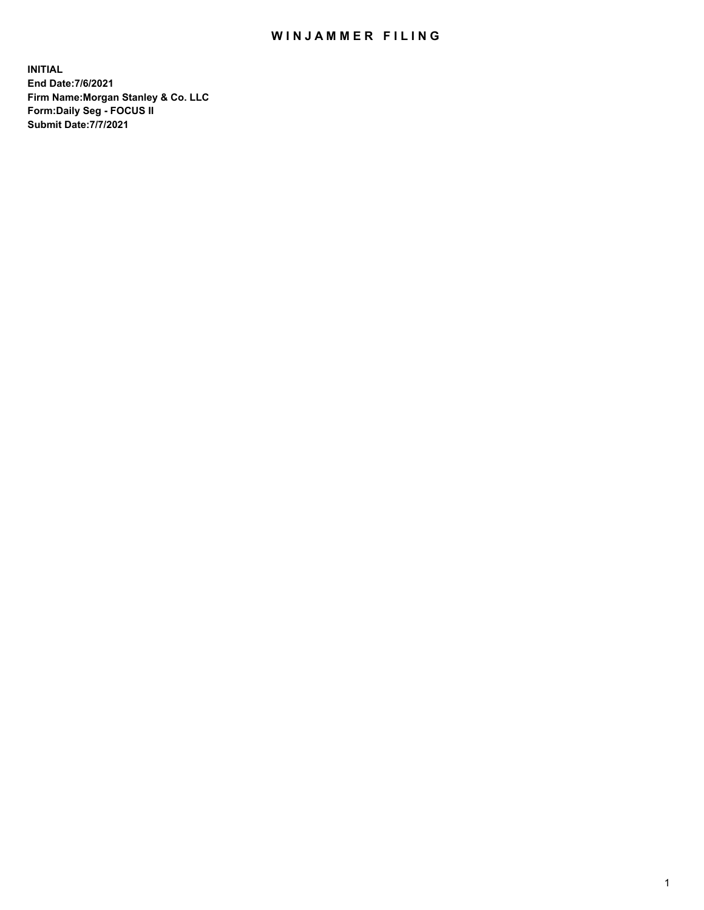## WIN JAMMER FILING

**INITIAL End Date:7/6/2021 Firm Name:Morgan Stanley & Co. LLC Form:Daily Seg - FOCUS II Submit Date:7/7/2021**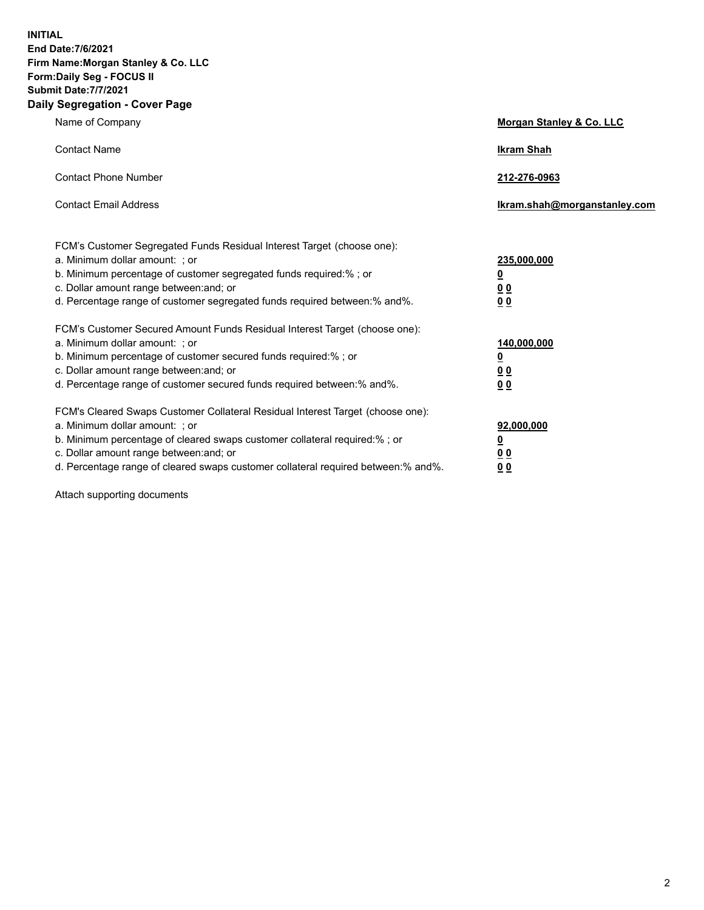**INITIAL End Date:7/6/2021 Firm Name:Morgan Stanley & Co. LLC Form:Daily Seg - FOCUS II Submit Date:7/7/2021 Daily Segregation - Cover Page**

| Name of Company                                                                                          | Morgan Stanley & Co. LLC     |
|----------------------------------------------------------------------------------------------------------|------------------------------|
| <b>Contact Name</b>                                                                                      | <b>Ikram Shah</b>            |
| <b>Contact Phone Number</b>                                                                              | 212-276-0963                 |
| <b>Contact Email Address</b>                                                                             | Ikram.shah@morganstanley.com |
|                                                                                                          |                              |
| FCM's Customer Segregated Funds Residual Interest Target (choose one):<br>a. Minimum dollar amount: ; or | 235,000,000                  |
| b. Minimum percentage of customer segregated funds required:% ; or                                       | <u>0</u>                     |
| c. Dollar amount range between: and; or                                                                  | <u>00</u>                    |
| d. Percentage range of customer segregated funds required between: % and %.                              | 0 <sup>0</sup>               |
| FCM's Customer Secured Amount Funds Residual Interest Target (choose one):                               |                              |
| a. Minimum dollar amount: ; or                                                                           | 140,000,000                  |
| b. Minimum percentage of customer secured funds required:%; or                                           | <u>0</u>                     |
| c. Dollar amount range between: and; or                                                                  | <u>0 0</u>                   |
| d. Percentage range of customer secured funds required between:% and%.                                   | 0 Q                          |
| FCM's Cleared Swaps Customer Collateral Residual Interest Target (choose one):                           |                              |
| a. Minimum dollar amount: ; or                                                                           | 92,000,000                   |
| b. Minimum percentage of cleared swaps customer collateral required:% ; or                               | <u>0</u>                     |
| c. Dollar amount range between: and; or                                                                  | 0 Q                          |
| d. Percentage range of cleared swaps customer collateral required between:% and%.                        | 0 <sub>0</sub>               |

Attach supporting documents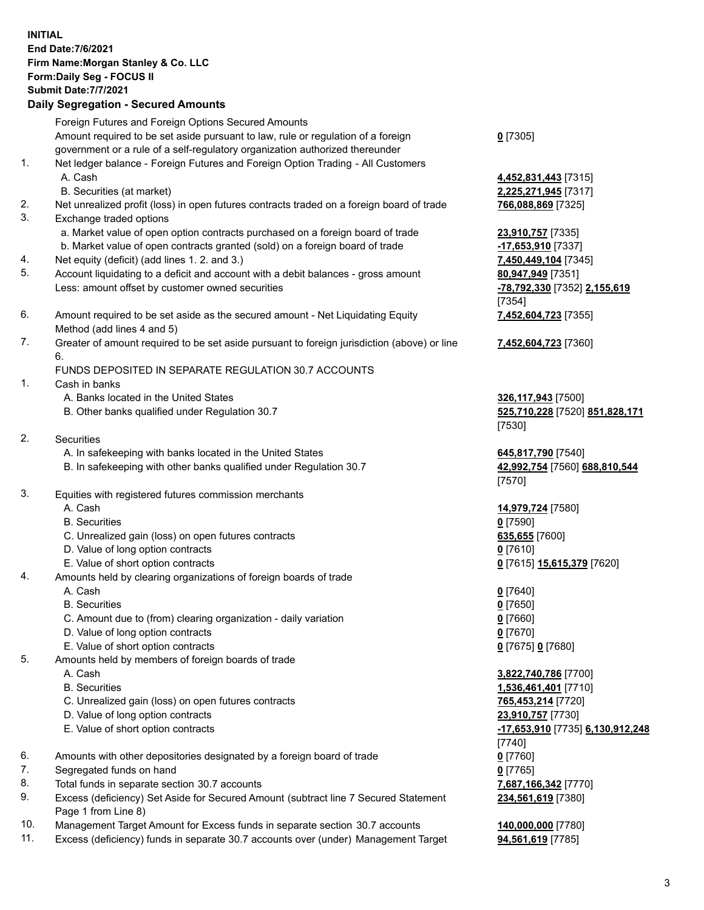|          | <b>INITIAL</b><br><b>End Date:7/6/2021</b><br>Firm Name: Morgan Stanley & Co. LLC<br>Form: Daily Seg - FOCUS II<br><b>Submit Date: 7/7/2021</b><br><b>Daily Segregation - Secured Amounts</b> |                                            |
|----------|-----------------------------------------------------------------------------------------------------------------------------------------------------------------------------------------------|--------------------------------------------|
|          | Foreign Futures and Foreign Options Secured Amounts                                                                                                                                           |                                            |
|          | Amount required to be set aside pursuant to law, rule or regulation of a foreign                                                                                                              | $0$ [7305]                                 |
| 1.       | government or a rule of a self-regulatory organization authorized thereunder<br>Net ledger balance - Foreign Futures and Foreign Option Trading - All Customers                               |                                            |
|          | A. Cash                                                                                                                                                                                       | 4,452,831,443 [7315]                       |
|          | B. Securities (at market)                                                                                                                                                                     | 2,225,271,945 [7317]                       |
| 2.<br>3. | Net unrealized profit (loss) in open futures contracts traded on a foreign board of trade<br>Exchange traded options                                                                          | 766,088,869 [7325]                         |
|          | a. Market value of open option contracts purchased on a foreign board of trade                                                                                                                | 23,910,757 [7335]                          |
|          | b. Market value of open contracts granted (sold) on a foreign board of trade                                                                                                                  | -17,653,910 [7337]                         |
| 4.       | Net equity (deficit) (add lines 1. 2. and 3.)                                                                                                                                                 | 7,450,449,104 [7345]                       |
| 5.       | Account liquidating to a deficit and account with a debit balances - gross amount                                                                                                             | 80,947,949 [7351]                          |
|          | Less: amount offset by customer owned securities                                                                                                                                              | -78,792,330 [7352] 2,155,619<br>[7354]     |
| 6.       | Amount required to be set aside as the secured amount - Net Liquidating Equity<br>Method (add lines 4 and 5)                                                                                  | 7,452,604,723 [7355]                       |
| 7.       | Greater of amount required to be set aside pursuant to foreign jurisdiction (above) or line                                                                                                   | 7,452,604,723 [7360]                       |
|          | 6.<br>FUNDS DEPOSITED IN SEPARATE REGULATION 30.7 ACCOUNTS                                                                                                                                    |                                            |
| 1.       | Cash in banks                                                                                                                                                                                 |                                            |
|          | A. Banks located in the United States                                                                                                                                                         | 326,117,943 [7500]                         |
|          | B. Other banks qualified under Regulation 30.7                                                                                                                                                | 525,710,228 [7520] 851,828,171<br>[7530]   |
| 2.       | <b>Securities</b>                                                                                                                                                                             |                                            |
|          | A. In safekeeping with banks located in the United States                                                                                                                                     | 645,817,790 [7540]                         |
|          | B. In safekeeping with other banks qualified under Regulation 30.7                                                                                                                            | 42,992,754 [7560] 688,810,544<br>[7570]    |
| 3.       | Equities with registered futures commission merchants                                                                                                                                         |                                            |
|          | A. Cash                                                                                                                                                                                       | 14,979,724 [7580]                          |
|          | <b>B.</b> Securities                                                                                                                                                                          | $0$ [7590]                                 |
|          | C. Unrealized gain (loss) on open futures contracts                                                                                                                                           | 635,655 [7600]                             |
|          | D. Value of long option contracts                                                                                                                                                             | $0$ [7610]                                 |
| 4.       | E. Value of short option contracts<br>Amounts held by clearing organizations of foreign boards of trade                                                                                       | 0 [7615] 15,615,379 [7620]                 |
|          | A. Cash                                                                                                                                                                                       | $0$ [7640]                                 |
|          | <b>B.</b> Securities                                                                                                                                                                          | $0$ [7650]                                 |
|          | C. Amount due to (from) clearing organization - daily variation                                                                                                                               | $0$ [7660]                                 |
|          | D. Value of long option contracts                                                                                                                                                             | $0$ [7670]                                 |
|          | E. Value of short option contracts                                                                                                                                                            | 0 [7675] 0 [7680]                          |
| 5.       | Amounts held by members of foreign boards of trade                                                                                                                                            |                                            |
|          | A. Cash                                                                                                                                                                                       | 3,822,740,786 [7700]                       |
|          | <b>B.</b> Securities<br>C. Unrealized gain (loss) on open futures contracts                                                                                                                   | 1,536,461,401 [7710]<br>765,453,214 [7720] |
|          | D. Value of long option contracts                                                                                                                                                             | 23,910,757 [7730]                          |
|          | E. Value of short option contracts                                                                                                                                                            | -17,653,910 [7735] 6,130,912,248           |
|          |                                                                                                                                                                                               | $[7740]$                                   |
| 6.       | Amounts with other depositories designated by a foreign board of trade                                                                                                                        | $0$ [7760]                                 |
| 7.       | Segregated funds on hand                                                                                                                                                                      | $0$ [7765]                                 |
| 8.       | Total funds in separate section 30.7 accounts                                                                                                                                                 | 7,687,166,342 [7770]                       |

- 9. Excess (deficiency) Set Aside for Secured Amount (subtract line 7 Secured Statement Page 1 from Line 8)
- 10. Management Target Amount for Excess funds in separate section 30.7 accounts **140,000,000** [7780]
- 11. Excess (deficiency) funds in separate 30.7 accounts over (under) Management Target **94,561,619** [7785]

**234,561,619** [7380]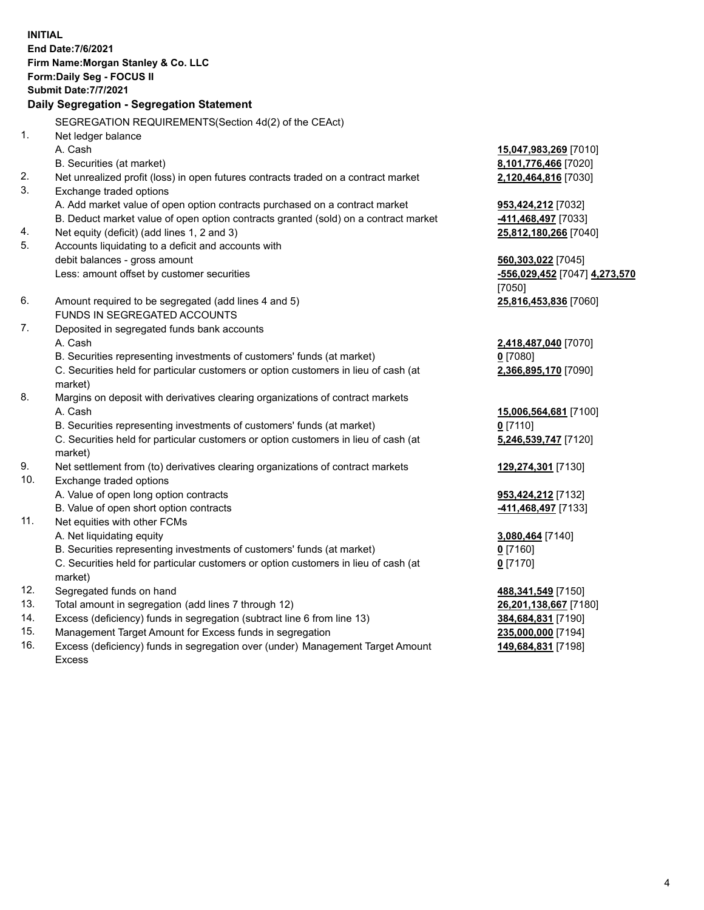**INITIAL End Date:7/6/2021 Firm Name:Morgan Stanley & Co. LLC Form:Daily Seg - FOCUS II Submit Date:7/7/2021 Daily Segregation - Segregation Statement** SEGREGATION REQUIREMENTS(Section 4d(2) of the CEAct) 1. Net ledger balance A. Cash **15,047,983,269** [7010] B. Securities (at market) **8,101,776,466** [7020] 2. Net unrealized profit (loss) in open futures contracts traded on a contract market **2,120,464,816** [7030] 3. Exchange traded options A. Add market value of open option contracts purchased on a contract market **953,424,212** [7032] B. Deduct market value of open option contracts granted (sold) on a contract market **-411,468,497** [7033] 4. Net equity (deficit) (add lines 1, 2 and 3) **25,812,180,266** [7040] 5. Accounts liquidating to a deficit and accounts with debit balances - gross amount **560,303,022** [7045] Less: amount offset by customer securities **-556,029,452** [7047] **4,273,570** [7050] 6. Amount required to be segregated (add lines 4 and 5) **25,816,453,836** [7060] FUNDS IN SEGREGATED ACCOUNTS 7. Deposited in segregated funds bank accounts A. Cash **2,418,487,040** [7070] B. Securities representing investments of customers' funds (at market) **0** [7080] C. Securities held for particular customers or option customers in lieu of cash (at market) **2,366,895,170** [7090] 8. Margins on deposit with derivatives clearing organizations of contract markets A. Cash **15,006,564,681** [7100] B. Securities representing investments of customers' funds (at market) **0** [7110] C. Securities held for particular customers or option customers in lieu of cash (at market) **5,246,539,747** [7120] 9. Net settlement from (to) derivatives clearing organizations of contract markets **129,274,301** [7130] 10. Exchange traded options A. Value of open long option contracts **953,424,212** [7132] B. Value of open short option contracts **and the set of our of the set of our of the set of the set of the set of the set of the set of the set of the set of the set of the set of the set of the set of the set of the set o** 11. Net equities with other FCMs A. Net liquidating equity **3,080,464** [7140] B. Securities representing investments of customers' funds (at market) **0** [7160] C. Securities held for particular customers or option customers in lieu of cash (at market) **0** [7170] 12. Segregated funds on hand **488,341,549** [7150] 13. Total amount in segregation (add lines 7 through 12) **26,201,138,667** [7180] 14. Excess (deficiency) funds in segregation (subtract line 6 from line 13) **384,684,831** [7190]

- 15. Management Target Amount for Excess funds in segregation **235,000,000** [7194]
- 16. Excess (deficiency) funds in segregation over (under) Management Target Amount Excess

**149,684,831** [7198]